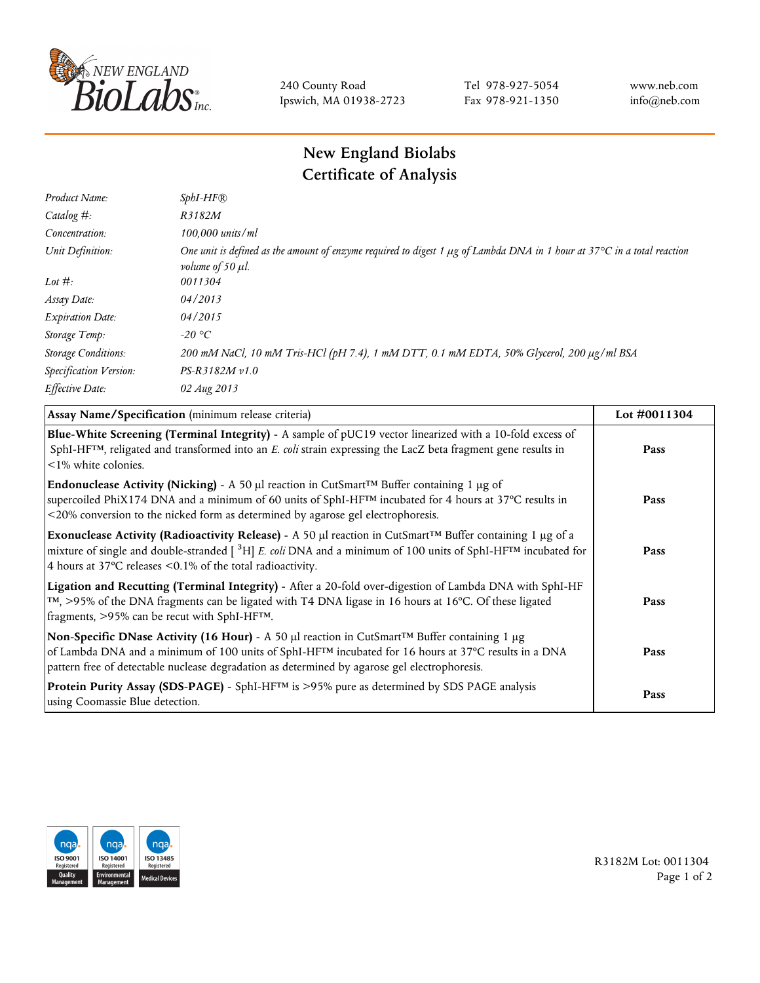

240 County Road Ipswich, MA 01938-2723 Tel 978-927-5054 Fax 978-921-1350 www.neb.com info@neb.com

## **New England Biolabs Certificate of Analysis**

| Product Name:              | $SphI-HF$ $R$                                                                                                                                                          |
|----------------------------|------------------------------------------------------------------------------------------------------------------------------------------------------------------------|
| Catalog $#$ :              | R3182M                                                                                                                                                                 |
| Concentration:             | 100,000 units/ml                                                                                                                                                       |
| Unit Definition:           | One unit is defined as the amount of enzyme required to digest 1 $\mu$ g of Lambda DNA in 1 hour at 37°C in a total reaction<br><i>volume of 50 <math>\mu</math>l.</i> |
| Lot $#$ :                  | 0011304                                                                                                                                                                |
| Assay Date:                | 04/2013                                                                                                                                                                |
| <b>Expiration Date:</b>    | 04/2015                                                                                                                                                                |
| Storage Temp:              | -20 °C                                                                                                                                                                 |
| <b>Storage Conditions:</b> | 200 mM NaCl, 10 mM Tris-HCl (pH 7.4), 1 mM DTT, 0.1 mM EDTA, 50% Glycerol, 200 µg/ml BSA                                                                               |
| Specification Version:     | $PS-R3182M \nu 1.0$                                                                                                                                                    |
| Effective Date:            | 02 Aug 2013                                                                                                                                                            |

| Assay Name/Specification (minimum release criteria)                                                                                                                                                                                                                                                                  | Lot #0011304 |
|----------------------------------------------------------------------------------------------------------------------------------------------------------------------------------------------------------------------------------------------------------------------------------------------------------------------|--------------|
| Blue-White Screening (Terminal Integrity) - A sample of pUC19 vector linearized with a 10-fold excess of<br>SphI-HF <sup>TM</sup> , religated and transformed into an E. coli strain expressing the LacZ beta fragment gene results in<br>$\leq$ 1% white colonies.                                                  | Pass         |
| <b>Endonuclease Activity (Nicking)</b> - A 50 µl reaction in CutSmart <sup>TM</sup> Buffer containing 1 µg of<br>supercoiled PhiX174 DNA and a minimum of 60 units of SphI-HF™ incubated for 4 hours at 37°C results in<br><20% conversion to the nicked form as determined by agarose gel electrophoresis.          | Pass         |
| Exonuclease Activity (Radioactivity Release) - A 50 µl reaction in CutSmart™ Buffer containing 1 µg of a<br>mixture of single and double-stranded $[$ <sup>3</sup> H $]$ E. coli DNA and a minimum of 100 units of SphI-HF <sup>TM</sup> incubated for<br>4 hours at 37°C releases <0.1% of the total radioactivity. | Pass         |
| Ligation and Recutting (Terminal Integrity) - After a 20-fold over-digestion of Lambda DNA with SphI-HF<br>TM, >95% of the DNA fragments can be ligated with T4 DNA ligase in 16 hours at 16°C. Of these ligated<br>fragments, >95% can be recut with SphI-HFTM.                                                     | Pass         |
| Non-Specific DNase Activity (16 Hour) - A 50 µl reaction in CutSmart™ Buffer containing 1 µg<br>of Lambda DNA and a minimum of 100 units of SphI-HF <sup>TM</sup> incubated for 16 hours at 37°C results in a DNA<br>pattern free of detectable nuclease degradation as determined by agarose gel electrophoresis.   | Pass         |
| Protein Purity Assay (SDS-PAGE) - SphI-HF™ is >95% pure as determined by SDS PAGE analysis<br>using Coomassie Blue detection.                                                                                                                                                                                        | Pass         |



R3182M Lot: 0011304 Page 1 of 2